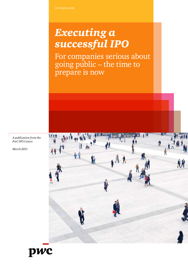# *Executing a successful IPO*

For companies serious about going public – the time to prepare is now



*A publication from the PwC IPO Centre*

*March 2011*

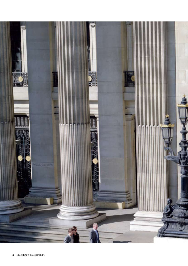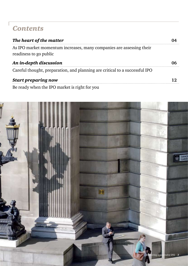## *Contents*

| The heart of the matter                                                     |  |
|-----------------------------------------------------------------------------|--|
| As IPO market momentum increases, many companies are assessing their        |  |
| readiness to go public                                                      |  |
| An in-depth discussion                                                      |  |
| Careful thought, preparation, and planning are critical to a successful IPO |  |
| <b>Start preparing now</b>                                                  |  |

Be ready when the IPO market is right for you

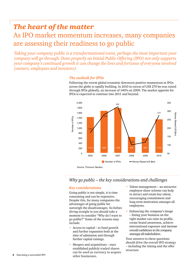### *The heart of the matter* As IPO market momentum increases, many companies are assessing their readiness to go public

*Taking your company public is a transformational event, perhaps the most important your company will go through. Done properly an Initial Public Offering (IPO) not only supports your company's continued growth it can change the lives and fortunes of everyone involved (owners, employees and investors).*

#### *The outlook for IPOs*

Following the recent global economic downturn positive momentum in IPOs across the globe is rapidly building. In 2010 in excess of US\$ 270 bn was raised through IPOs globally, an increase of 140% on 2009. The market appetite for IPOs is expected to continue into 2011 and beyond.



*Source: Thomson Reuters*

#### *Why go public – the key considerations and challenges*

#### *Key considerations*

Going public is not simple, it is time consuming and can be expensive. Despite this, for many companies the advantages of going public far outweigh the disadvantages. So before diving straight in you should take a moment to consider "Why do I want to go public?" Some of the reasons may include:

- Access to capital  $-$  to fund growth and further expansion both at the time of admission and through further capital raisings.
- Mergers and acquisitions once established publicly traded shares can be used as currency to acquire other businesses.
- Talent management an attractive employee share scheme can help to attract and retain key talent, encouraging commitment and long term motivation amongst all employees.
- Enhancing the company's image – listing your business on the right market can raise its profile, create brand awareness, achieve international exposure and increase overall confidence in the company amongst all stakeholders.

Your answers to these questions should drive the overall IPO strategy – including the timing and the offer structure.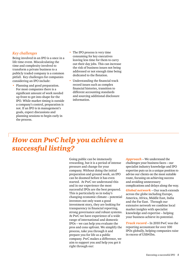#### *Key challenges*

Being involved in an IPO is a once in a life time event. Miscalculating the time and complexity involved to transform a private business to a publicly traded company is a common pitfall. Key challenges for companies considering an IPO include:

- Planning and good preparation. For most companies there is a significant amount of work needed up front to get into shape for the IPO. While market timing is outside a company's control, preparation is not. If an IPO is in management's goals, expect discussions and planning sessions to begin early in the process.
- The IPO process is very time consuming for key executives leaving less time for them to carry out their day jobs. This can increase the risk of business issues not being addressed or not enough time being dedicated to the flotation.
- Understanding the financial track record issues such as complex financial histories, transition to different accounting standards and sourcing additional disclosure information.

### *How can PwC help you achieve a successful listing?*

Going public can be immensely rewarding, but it is a period of intense pressure and change for your company. Without doing the initial preparation and ground work, an IPO can be doomed before it has even started. At PwC we understand this and in our experience the most successful IPOs are the best prepared. This is particularly so in today's changing economic climate – potential investors not only want a good investment story, they are looking for transparency in financial reporting, strong governance and robust systems. At PwC we have experience of a wide range of international and domestic IPOs – we can help you evaluate the pros and cons upfront. We simplify the process, take you through it and prepare you for life as a public company. PwC makes a difference, we aim to support you and help you get it right through our:

*Approach* – We understand the challenges your business faces – our specialist industry knowledge and IPO expertise puts us in a unique position to advise our clients on the most suitable route, focusing on achieving success and avoiding unnecessary complications and delays along the way.

*Global network* – Our reach extends across the globe including Europe, America, Africa, Middle East, India and the Far East. Through our extensive network we combine local market insights with specialist knowledge and expertise – helping your business achieve its potential.

*Track record* – In 2010 PwC was the reporting accountant for over 100 IPOs globally, helping companies raise in excess of US\$41bn.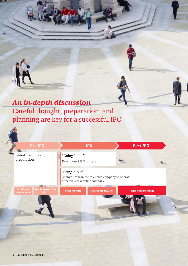# *An in-depth discussion* Careful thought, preparation, and

planning are key for a successful IPO

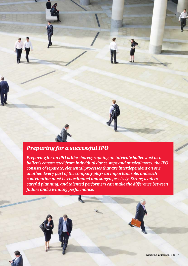

*Preparing for an IPO is like choreographing an intricate ballet. Just as a ballet is constructed from individual dance steps and musical notes, the IPO consists of separate, elemental processes that are interdependent on one another. Every part of the company plays an important role, and each contribution must be coordinated and staged precisely. Strong leaders, careful planning, and talented performers can make the difference between failure and a winning performance.*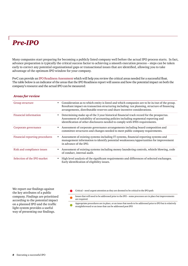## *Pre-IPO*

Many companies start preparing for becoming a publicly listed company well before the actual IPO process starts. In fact, advance preparation is typically the critical success factor to achieving a smooth execution process – steps can be taken early to correct any potential organisational gaps or transactional issues that are identified, allowing you to take advantage of the optimum IPO window for your company.

PwC can provide an IPO Readiness Assessment which will help you review the critical areas needed for a successful float. The table below is an indicator of the areas that the IPO Readiness report will assess and how the potential impact on both the company's resource and the actual IPO can be measured:

| Group structure                | Consideration as to which entity is listed and which companies are to be in/out of the group.<br>Resultant impact on transaction structuring including: tax planning, structure of financing<br>arrangements, distributable reserves and share incentive considerations. |
|--------------------------------|--------------------------------------------------------------------------------------------------------------------------------------------------------------------------------------------------------------------------------------------------------------------------|
| Financial information          | Determining make up of the 3 year historical financial track record for the prospectus.<br>Assessment of suitability of accounting policies including segmental reporting and<br>identification of other disclosures needed to comply with IFRS requirements.            |
| Corporate governance           | Assessment of corporate governance arrangements including board composition and<br>committee structures and changes needed to meet public company requirements.                                                                                                          |
| Financial reporting procedures | Assessment of existing systems including IT systems, financial reporting systems and<br>management information to identify potential weaknesses/opportunities for improvement<br>in advance of the IPO.                                                                  |
| Risk and compliance issues     | Assessment of existing systems including money laundering controls, whistle blowing, code<br>of conduct, internal audit.                                                                                                                                                 |
| Selection of the IPO market    | High level analysis of the significant requirements and differences of selected exchanges.<br>Early identification of eligibility issues.                                                                                                                                |

#### *Areas for review*

We report our findings against the key attributes of a public company. Findings are prioritised according to the potential impact on a planned IPO and the traffic light system provides a useful way of presenting our findings.

- Critical need urgent attention as they are deemed to be critical to the IPO path
- Issues that will need to be addressed prior to the IPO some processes are in place but improvements are required.
- Appropriate procedures are in place, or an issue that needs to be addressed prior to IPO but is relatively straightforward or an issue that can be addressed post IPO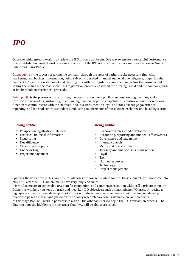### *IPO*

Once the initial ground work is complete the IPO process can begin. One way to ensure a successful performance is to establish two parallel work streams at the start of the IPO registration process – we refer to these as Going Public and Being Public.

Going public is the process of taking the company through the steps of gathering the necessary financial, marketing, and business information; being subject to detailed financial and legal due diligence; preparing the prospectus/registration statement and clearing this with the regulators; and then marketing the business and selling the shares in the road show. This registration process ends when the offering is sold and the company, and/ or its shareholders receive the proceeds.

Being public is the process of transforming the organisation into a public company. Among the many tasks involved are upgrading, sustaining, or enhancing financial reporting capabilities, creating an investor relations function to communicate with the "market" and investors, meeting legal and stock exchange governance, reporting, and internal controls standards and listing requirements of the selected exchange and local legislation.

| <b>Going public</b>                                                                                                                                                   | <b>Being public</b>                                                                                                                                                                                                                                                                                                          |
|-----------------------------------------------------------------------------------------------------------------------------------------------------------------------|------------------------------------------------------------------------------------------------------------------------------------------------------------------------------------------------------------------------------------------------------------------------------------------------------------------------------|
| Prospectus/registration statement<br>• Historical financial information<br>Structuring<br>Due diligence<br>Other expert reports<br>Underwriting<br>Project management | • Corporate strategy and development<br>• Accounting, reporting and financial effectiveness<br>• Governance and leadership<br>• Internal controls<br>• Media and investor relations<br>• Treasury and financial risk management<br>$\bullet$ Legal<br>$\bullet$ Tax<br>Human resources<br>• Technology<br>Project management |

Splitting the work flow in this way ensures all bases are covered – while some of these elements will not come into play until after the IPO launch, many have very long lead times.

It is vital to create an achievable IPO plan for completion, and commence execution while still a private company. Doing this will help you keep on track and meet key IPO objectives; such as maximising IPO price, attracting a high quality investor base, develop relationships with the wider market to create liquid trading and develop relationships with market analysts to ensure quality research coverage is available on your company. At this stage PwC will work in partnership with all the other advisers to begin the IPO transaction process. The diagram opposite highlights the key areas that PwC will be able to assist you: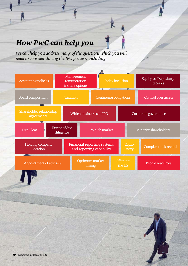### *How PwC can help you*

 $\Lambda$ 

*We can help you address many of the questions which you will need to consider during the IPO process, including:*

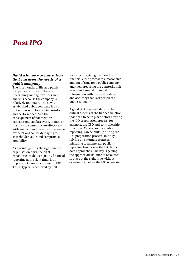### *Post IPO*

#### *Build a finance organisation that can meet the needs of a public company*

The first months of life as a public company are critical. There is uncertainty among investors and analysts because the company is relatively unknown. The newly established public company is also unfamiliar with forecasting results and performance. And the consequences of not meeting expectations can be severe. In fact, an inability to communicate effectively with analysts and investors to manage expectations can be damaging to shareholder value and compromise credibility.

As a result, getting the right finance organisation, with the right capabilities to deliver quality financial reporting at the right time, is an important factor to a successful IPO. This is typically achieved by first

focusing on getting the monthly financial close process to a reasonable amount of time for a public company and then preparing the quarterly, half yearly and annual financial information with the level of detail and accuracy that is expected of a public company.

A good IPO plan will identify the critical aspects of the finance function that need to be in place before starting the IPO preparation process, for example, the CFO and controllership functions. Others, such as public reporting, can be built up during the IPO preparation process, initially relying on external resources, migrating to an internal public reporting function as the IPO launch date approaches. The key is getting the appropriate balance of resources in place at the right time without overdoing it before the IPO is certain.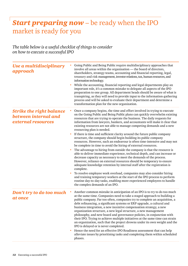### *Start preparing now* – be ready when the IPO market is ready for you

*The table below is a useful checklist of things to consider on how to execute a successful IPO*

| Use a multidisciplinary<br>approach                                           |             | Going Public and Being Public require multidisciplinary approaches that<br>involve all areas within the organisation - the board of directors,<br>shareholders, strategy teams, accounting and financial reporting, legal,<br>treasury and risk management, investor relations, tax, human resources, and<br>information technology.<br>While the accounting, financial reporting and legal departments play an<br>important role, it's a common mistake to delegate all aspects of the IPO<br>preparation to one group. All department heads should be aware of what is<br>transpiring, as they will need to provide input to the information-gathering<br>process and will be asked to evaluate their department and determine a<br>transformation plan for the new organization.                                                                                                                                                                                                                                                                                                                                                                                                                                                                                                                                                                                                        |
|-------------------------------------------------------------------------------|-------------|--------------------------------------------------------------------------------------------------------------------------------------------------------------------------------------------------------------------------------------------------------------------------------------------------------------------------------------------------------------------------------------------------------------------------------------------------------------------------------------------------------------------------------------------------------------------------------------------------------------------------------------------------------------------------------------------------------------------------------------------------------------------------------------------------------------------------------------------------------------------------------------------------------------------------------------------------------------------------------------------------------------------------------------------------------------------------------------------------------------------------------------------------------------------------------------------------------------------------------------------------------------------------------------------------------------------------------------------------------------------------------------------|
| <b>Strike the right balance</b><br>between internal and<br>external resources | ٠<br>٠<br>٠ | Once a company begins, the time and effort involved in trying to execute<br>on the Going Public and Being Public plans can quickly overwhelm existing<br>resources that are trying to operate the business. The daily requests for<br>information from lawyers, bankers, and accountants will make it clear that<br>existing resources are not able to manage competing demands and a new<br>resourcing plan is needed.<br>If there is time and sufficient clarity around the future public company<br>structure, the company should begin building its public company<br>resources. However, such an endeavour is often time-intensive and may not<br>be complete in time to avoid the hiring of external resources.<br>The advantage to hiring from outside the company is that the resource is<br>able to deliver immediate experience, technical depth, and can increase or<br>decrease capacity as necessary to meet the demands of the process.<br>However, reliance on external resources should be temporary to ensure<br>adequate knowledge retention by internal staff after the registration is<br>complete.<br>To resolve employee work overload, companies may also consider hiring<br>and training temporary workers at the start of the IPO process to perform<br>routine day-to-day tasks, enabling more experienced employees to handle<br>the complex demands of an IPO. |
| Don't try to do too much<br>at once                                           | ٠           | Another common mistake in anticipation of an IPO is to try to do too much<br>at the same time. Companies need to take a staged approach to building a<br>public company. Far too often, companies try to complete an acquisition, a<br>debt refinancing, a significant systems or ERP upgrade, a cultural and<br>business integration, a new incentive compensation strategy, a new<br>organization structure, a new legal structure, a new management<br>philosophy, and new board and governance policies, in conjunction with<br>their IPO. Trying to achieve multiple initiatives at the same time can strain<br>an organization, such that the project drowns under its own weight and the<br>IPO is delayed or is never completed.<br>Hence the need for an effective IPO Readiness assessment that can help<br>alleviate issues by prioritising tasks and completing them within scheduled<br>phases.                                                                                                                                                                                                                                                                                                                                                                                                                                                                               |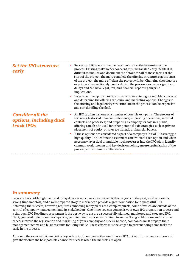| <b>Set the IPO structure</b><br>early                            | Successful IPOs determine the IPO structure at the beginning of the<br>process. Existing stakeholder concerns must be tackled early. While it is<br>difficult to finalize and document the details for all of these terms at the<br>start of the project, the more complete the offering structure is at the start<br>of the project, the more efficient the project will be. Changing the structure<br>or primary transaction dynamics during the process can cause significant<br>delays and can have legal, tax, and financial reporting surprise<br>implications.<br>Invest the time up front to carefully consider existing stakeholder concerns<br>and determine the offering structure and marketing options. Changes to<br>the offering and legal entity structure late in the process can be expensive<br>and risk derailing the deal. |
|------------------------------------------------------------------|-------------------------------------------------------------------------------------------------------------------------------------------------------------------------------------------------------------------------------------------------------------------------------------------------------------------------------------------------------------------------------------------------------------------------------------------------------------------------------------------------------------------------------------------------------------------------------------------------------------------------------------------------------------------------------------------------------------------------------------------------------------------------------------------------------------------------------------------------|
| <b>Consider all the</b><br>options, including dual<br>track IPOs | • An IPO is often just one of a number of possible exit paths. The process of<br>revisiting historical financial statements; improving operations, internal<br>controls and processes; and preparing a company for sale in a public<br>offering can also be used for other potential exit strategies such as private<br>placements of equity, or sales to strategic or financial buyers.<br>If these options are considered as part of a company's initial IPO strategy, a<br>high quality IPO Readiness assessment can evaluate each option and when<br>necessary layer dual or multiple track processes into the IPO plan; identify<br>common work streams and key decision points, ensure optimization of the<br>process, and eliminate inefficiencies.                                                                                      |

#### *In summary*

IPOs are back. Although the trend today does yet not come close to the IPO boom years of the past, solid economics, strong fundamentals, and a well-prepared story to market can provide a great foundation for a successful IPO. Achieving that success, however, requires connecting many pieces of a complex puzzle, some of which are outside of the control of company management and its stakeholders. One thing you can control is your own IPO preparation process and a thorough IPO Readiness assessment is the best way to ensure a successfully planned, monitored and executed IPO. Next, you need to focus on two separate, yet integrated work streams. First, form the Going Public team and start the process toward the registration and marketing of your company and stocks. Second, companies must prepare their management teams and business units for Being Public. These efforts must be staged to prevent doing some tasks too early in the process.

Although the external IPO market is beyond control, companies that envision an IPO in their future can start now and give themselves the best possible chance for success when the markets are open.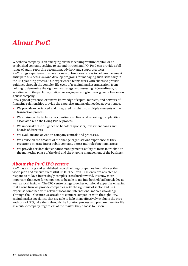### *About PwC*

Whether a company is an emerging business seeking venture capital, or an established company seeking to expand through an IPO, PwC can provide a full range of audit, reporting accountant, advisory and support services. PwC brings experience in a broad range of functional areas to help management anticipate business risks and develop programs for managing such risks early in the IPO planning process. Our experienced teams work with clients to provide guidance through the complex life cycle of a capital market transaction, from helping to determine the right entry strategy and assessing IPO-readiness, to assisting with the public registration process, to preparing for the ongoing obligations as a public company.

PwC's global presence, extensive knowledge of capital markets, and network of financing relationships provide the expertise and insight needed at every stage.

- We provide experienced and integrated insight into multiple elements of the transaction process.
- We advise on the technical accounting and financial reporting complexities associated with the Going Public process.
- We undertake due diligence on behalf of sponsors, investment banks and boards of directors.
- We evaluate and advise on company controls and processes.
- We advise on the breadth of the change organisations experience as they prepare to migrate into a public company across multiple functional areas.
- We provide services that enhance management's ability to focus more time on the marketing phase of the deal and the ongoing management of the business.

#### *About the PwC IPO centre*

PwC has a strong and established record helping companies from all over the world plan and execute successful IPOs. The PwC IPO Centre was created to respond to today's increasingly complex cross border world. It is now more important than ever for companies to be able to tap into both global knowledge as well as local insights. The IPO centre brings together our global expertise ensuring that as one firm we provide companies with the right mix of sector and IPO expertise combined with relevant local and international market knowledge. Through the IPO centre we are able to connect companies with the right PwC capital market specialists that are able to help them effectively evaluate the pros and cons of IPO, take them through the flotation process and prepare them for life as a public company, regardless of the market they choose to list on.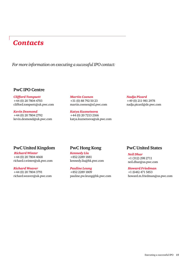### *Contacts*

*For more information on executing a successful IPO contact:*

#### **PwC IPO Centre**

*Clifford Tompsett* +44 (0) 20 7804 4703 clifford.tompsett@uk.pwc.com

*Kevin Desmond* +44 (0) 20 7804 2792 kevin.desmond@uk.pwc.com *Martin Coenen* +31 (0) 88 792 50 23 martin.coenen@nl.pwc.com

*Katya Kuznetsova* +44 (0) 20 7213 2166 katya.kuznetsova@uk.pwc.com *Nadja Picard* +49 (0) 211 981 2978 nadja.picard@de.pwc.com

#### **PwC United Kingdom PwC Hong Kong PwC United States**

*Richard Winter* +44 (0) 20 7804 4668 richard.t.winter@uk.pwc.com

*Richard Weaver* +44 (0) 20 7804 3791 richard.weaver@uk.pwc.com

*Kennedy Liu* +852 2289 1881 kennedy.liu@hk.pwc.com

*Pauline Leung* +852 2289 1809 pauline.pw.leung@hk.pwc.com

*Neil Dhar* +1 (312) 298 2711 neil.dhar@us.pwc.com

*Howard Friedman* +1 (646) 471 5853 howard.m.friedman@us.pwc.com